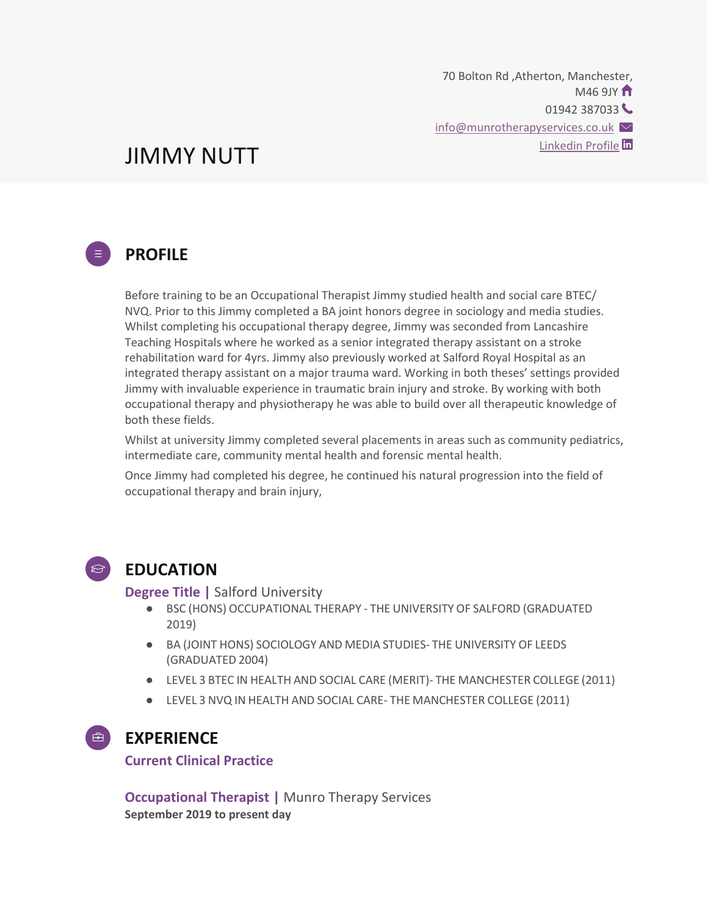70 Bolton Rd ,Atherton, Manchester, M46 9JY $\bigcap$ 01942 387033 info@munrotherapyservices.co.uk [Linkedin Profile](https://www.linkedin.com/in/jimmy-nutt-447905197/) In

# JIMMY NUTT

# **PROFILE**

Before training to be an Occupational Therapist Jimmy studied health and social care BTEC/ NVQ. Prior to this Jimmy completed a BA joint honors degree in sociology and media studies. Whilst completing his occupational therapy degree, Jimmy was seconded from Lancashire Teaching Hospitals where he worked as a senior integrated therapy assistant on a stroke rehabilitation ward for 4yrs. Jimmy also previously worked at Salford Royal Hospital as an integrated therapy assistant on a major trauma ward. Working in both theses' settings provided Jimmy with invaluable experience in traumatic brain injury and stroke. By working with both occupational therapy and physiotherapy he was able to build over all therapeutic knowledge of both these fields.

Whilst at university Jimmy completed several placements in areas such as community pediatrics, intermediate care, community mental health and forensic mental health.

Once Jimmy had completed his degree, he continued his natural progression into the field of occupational therapy and brain injury,



# **EDUCATION**

**Degree Title |** Salford University

- BSC (HONS) OCCUPATIONAL THERAPY THE UNIVERSITY OF SALFORD (GRADUATED 2019)
- BA (JOINT HONS) SOCIOLOGY AND MEDIA STUDIES- THE UNIVERSITY OF LEEDS (GRADUATED 2004)
- LEVEL 3 BTEC IN HEALTH AND SOCIAL CARE (MERIT)- THE MANCHESTER COLLEGE (2011)
- LEVEL 3 NVQ IN HEALTH AND SOCIAL CARE- THE MANCHESTER COLLEGE (2011)

# **EXPERIENCE**

### **Current Clinical Practice**

**Occupational Therapist | Munro Therapy Services September 2019 to present day**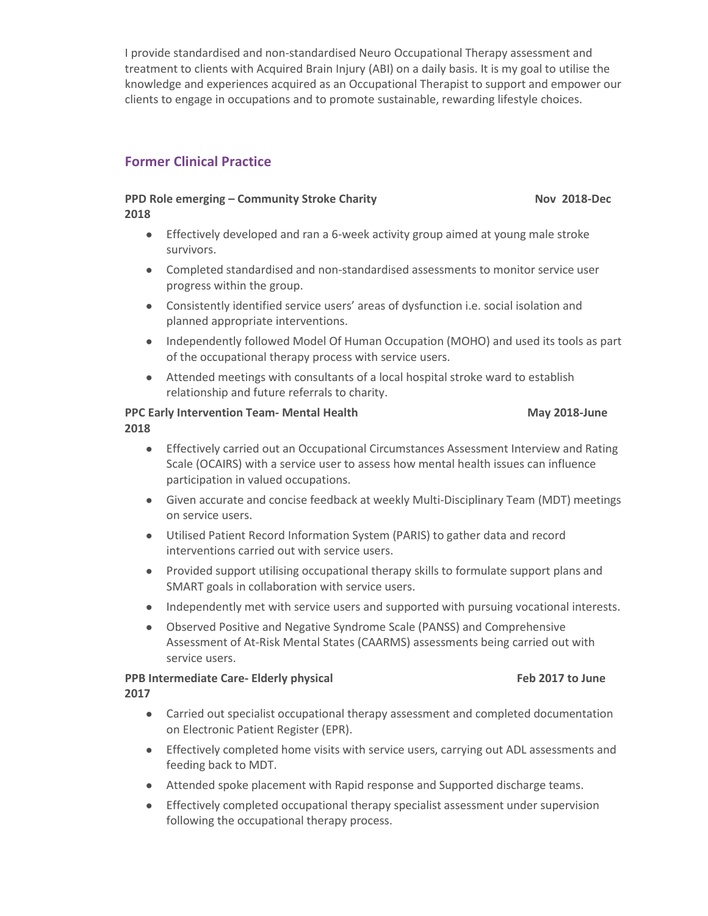I provide standardised and non-standardised Neuro Occupational Therapy assessment and treatment to clients with Acquired Brain Injury (ABI) on a daily basis. It is my goal to utilise the knowledge and experiences acquired as an Occupational Therapist to support and empower our clients to engage in occupations and to promote sustainable, rewarding lifestyle choices.

## **Former Clinical Practice**

#### **PPD Role emerging – Community Stroke Charity Noviet 2018-Dec 2018-Dec 2018**

- Effectively developed and ran a 6-week activity group aimed at young male stroke survivors.
- Completed standardised and non-standardised assessments to monitor service user progress within the group.
- Consistently identified service users' areas of dysfunction i.e. social isolation and planned appropriate interventions.
- Independently followed Model Of Human Occupation (MOHO) and used its tools as part of the occupational therapy process with service users.
- Attended meetings with consultants of a local hospital stroke ward to establish relationship and future referrals to charity.

#### **PPC Early Intervention Team- Mental Health May 2018-June 10 May 2018-June 2018**

- Effectively carried out an Occupational Circumstances Assessment Interview and Rating Scale (OCAIRS) with a service user to assess how mental health issues can influence participation in valued occupations.
- Given accurate and concise feedback at weekly Multi-Disciplinary Team (MDT) meetings on service users.
- Utilised Patient Record Information System (PARIS) to gather data and record interventions carried out with service users.
- Provided support utilising occupational therapy skills to formulate support plans and SMART goals in collaboration with service users.
- Independently met with service users and supported with pursuing vocational interests.
- Observed Positive and Negative Syndrome Scale (PANSS) and Comprehensive Assessment of At-Risk Mental States (CAARMS) assessments being carried out with service users.

#### **PPB Intermediate Care- Elderly physical Feb 2017 to June 2017**

- Carried out specialist occupational therapy assessment and completed documentation on Electronic Patient Register (EPR).
- Effectively completed home visits with service users, carrying out ADL assessments and feeding back to MDT.
- Attended spoke placement with Rapid response and Supported discharge teams.
- Effectively completed occupational therapy specialist assessment under supervision following the occupational therapy process.